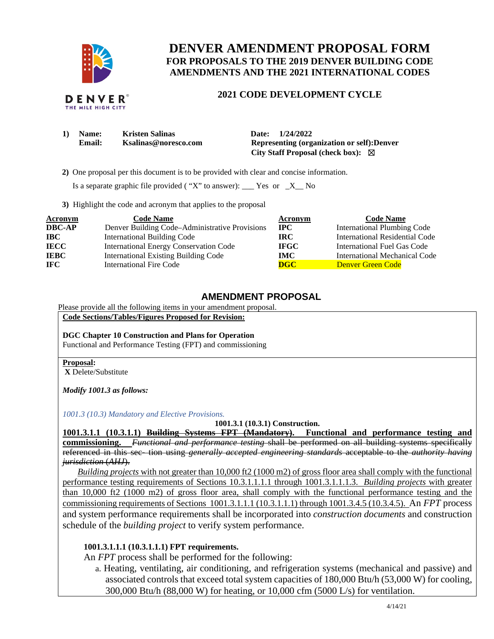

THE MILE HIGH CITY

## **DENVER AMENDMENT PROPOSAL FORM FOR PROPOSALS TO THE 2019 DENVER BUILDING CODE AMENDMENTS AND THE 2021 INTERNATIONAL CODES**

### **2021 CODE DEVELOPMENT CYCLE**

| 1) | Name:  | <b>Kristen Salinas</b> | Date: 1/24/2022                              |
|----|--------|------------------------|----------------------------------------------|
|    | Email: | Ksalinas@noresco.com   | Representing (organization or self): Denver  |
|    |        |                        | City Staff Proposal (check box): $\boxtimes$ |

 **2)** One proposal per this document is to be provided with clear and concise information.

Is a separate graphic file provided ( "X" to answer): \_\_\_ Yes or  $_X$ \_No

**3)** Highlight the code and acronym that applies to the proposal

| <b>Acronym</b> | <b>Code Name</b>                               | Acronym                 | <b>Code Name</b>                   |
|----------------|------------------------------------------------|-------------------------|------------------------------------|
| <b>DBC-AP</b>  | Denver Building Code-Administrative Provisions | $\bf IPC$               | <b>International Plumbing Code</b> |
| <b>IBC</b>     | <b>International Building Code</b>             | IRC-                    | International Residential Code     |
| <b>IECC</b>    | <b>International Energy Conservation Code</b>  | <b>IFGC</b>             | International Fuel Gas Code        |
| <b>IEBC</b>    | <b>International Existing Building Code</b>    | <b>IMC</b>              | International Mechanical Code      |
| IFC.           | <b>International Fire Code</b>                 | $\overline{\text{DGC}}$ | Denver Green Code                  |

#### **AMENDMENT PROPOSAL**

Please provide all the following items in your amendment proposal.

**Code Sections/Tables/Figures Proposed for Revision:** 

**DGC Chapter 10 Construction and Plans for Operation**  Functional and Performance Testing (FPT) and commissioning

#### **Proposal:**

 **X** Delete/Substitute

*Modify 1001.3 as follows:* 

*1001.3 (10.3) Mandatory and Elective Provisions.*

**1001.3.1 (10.3.1) Construction.** 

**1001.3.1.1 (10.3.1.1) Building Systems FPT (Mandatory). Functional and performance testing and commissioning.** *Functional and performance testing* shall be performed on all building systems specifically referenced in this sec- tion using *generally accepted engineering standards* acceptable to the *authority having jurisdiction* (*AHJ*).

*Building projects* with not greater than 10,000 ft2 (1000 m2) of gross floor area shall comply with the functional performance testing requirements of Sections 10.3.1.1.1.1 through 1001.3.1.1.1.3. *Building projects* with greater than 10,000 ft2 (1000 m2) of gross floor area, shall comply with the functional performance testing and the commissioning requirements of Sections 1001.3.1.1.1 (10.3.1.1.1) through 1001.3.4.5 (10.3.4.5).An *FPT* process and system performance requirements shall be incorporated into *construction documents* and construction schedule of the *building project* to verify system performance.

#### **1001.3.1.1.1 (10.3.1.1.1) FPT requirements.**

An *FPT* process shall be performed for the following:

a. Heating, ventilating, air conditioning, and refrigeration systems (mechanical and passive) and associated controls that exceed total system capacities of 180,000 Btu/h (53,000 W) for cooling,  $300,000$  Btu/h  $(88,000 \text{ W})$  for heating, or  $10,000$  cfm  $(5000 \text{ L/s})$  for ventilation.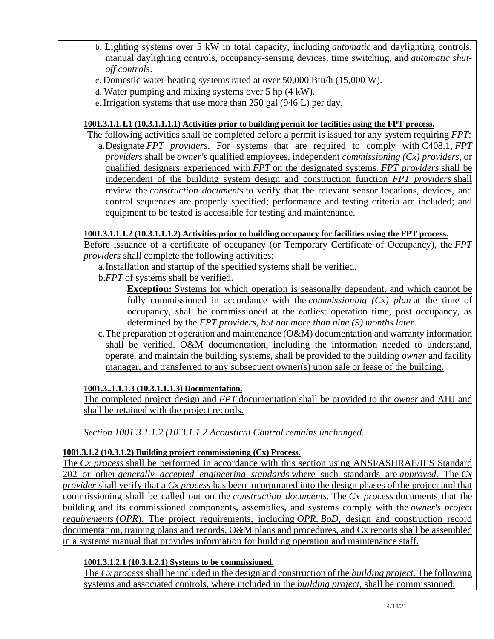- b. Lighting systems over 5 kW in total capacity, including *automatic* and daylighting controls, manual daylighting controls, occupancy-sensing devices, time switching, and *automatic shutoff controls*.
- c. Domestic water-heating systems rated at over 50,000 Btu/h (15,000 W).
- d. Water pumping and mixing systems over 5 hp (4 kW).
- e. Irrigation systems that use more than 250 gal (946 L) per day.

## **1001.3.1.1.1.1 (10.3.1.1.1.1) Activities prior to building permit for facilities using the FPT process.**

The following activities shall be completed before a permit is issued for any system requiring *FPT*: a.Designate *FPT providers*. For systems that are required to comply with [C408.1,](https://codes.iccsafe.org/lookup/IGCC2021P1_ChPanel_Sec1001.3.1/1908) *FPT providers* shall be *owner's* qualified employees, independent *commissioning (Cx) providers*, or qualified designers experienced with *FPT* on the designated systems. *FPT providers* shall be independent of the building system design and construction function *FPT providers* shall review the *construction documents* to verify that the relevant sensor locations, devices, and control sequences are properly specified; performance and testing criteria are included; and equipment to be tested is accessible for testing and maintenance.

## **1001.3.1.1.1.2 (10.3.1.1.1.2) Activities prior to building occupancy for facilities using the FPT process.**

Before issuance of a certificate of occupancy (or Temporary Certificate of Occupancy), the *FPT providers* shall complete the following activities:

a.Installation and startup of the specified systems shall be verified.

b.*FPT* of systems shall be verified.

**Exception:** Systems for which operation is seasonally dependent, and which cannot be fully commissioned in accordance with the *commissioning (Cx) plan* at the time of occupancy, shall be commissioned at the earliest operation time, post occupancy, as determined by the *FPT providers, but not more than nine (9) months later*.

c.The preparation of operation and maintenance (O&M) documentation and warranty information shall be verified. O&M documentation, including the information needed to understand, operate, and maintain the building systems, shall be provided to the building *owner* and facility manager, and transferred to any subsequent owner(s) upon sale or lease of the building.

**1001.3..1.1.1.3 (10.3.1.1.1.3) Documentation.** 

The completed project design and *FPT* documentation shall be provided to the *owner* and AHJ and shall be retained with the project records.

*Section 1001.3.1.1.2 (10.3.1.1.2 Acoustical Control remains unchanged.* 

## **1001.3.1.2 (10.3.1.2) Building project commissioning (Cx) Process.**

The *Cx process* shall be performed in accordance with this section using ANSI/ASHRAE/IES Standard 202 or other *generally accepted engineering standards* where such standards are *approved*. The *Cx provider* shall verify that a *Cx process* has been incorporated into the design phases of the project and that commissioning shall be called out on the *construction documents.* The *Cx process* documents that the building and its commissioned components, assemblies, and systems comply with the *owner's project requirements* (*OPR*). The project requirements, including *OPR*, *BoD*, design and construction record documentation, training plans and records, O&M plans and procedures, and Cx reports shall be assembled in a systems manual that provides information for building operation and maintenance staff.

## **1001.3.1.2.1 (10.3.1.2.1) Systems to be commissioned.**

The *Cx process* shall be included in the design and construction of the *building project*. The following systems and associated controls, where included in the *building project*, shall be commissioned: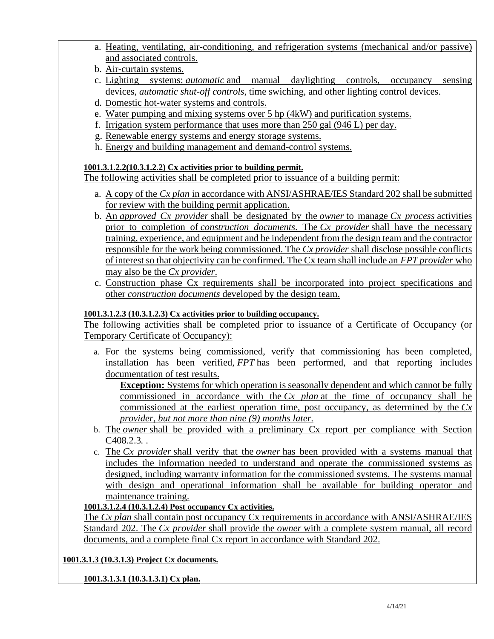- a. Heating, ventilating, air-conditioning, and refrigeration systems (mechanical and/or passive) and associated controls.
- b. Air-curtain systems.
- c. Lighting systems: *automatic* and manual daylighting controls, occupancy sensing devices, *automatic shut-off controls*, time swiching, and other lighting control devices.
- d. Domestic hot-water systems and controls.
- e. Water pumping and mixing systems over 5 hp (4kW) and purification systems.
- f. Irrigation system performance that uses more than 250 gal (946 L) per day.
- g. Renewable energy systems and energy storage systems.
- h. Energy and building management and demand-control systems.

#### **1001.3.1.2.2(10.3.1.2.2) Cx activities prior to building permit.**

The following activities shall be completed prior to issuance of a building permit:

- a. A copy of the *Cx plan* in accordance with ANSI/ASHRAE/IES Standard 202 shall be submitted for review with the building permit application.
- b. An *approved Cx provider* shall be designated by the *owner* to manage *Cx process* activities prior to completion of *construction documents*. The *Cx provider* shall have the necessary training, experience, and equipment and be independent from the design team and the contractor responsible for the work being commissioned. The *Cx provider* shall disclose possible conflicts of interest so that objectivity can be confirmed. The Cx team shall include an *FPT provider* who may also be the *Cx provider*.
- c. Construction phase Cx requirements shall be incorporated into project specifications and other *construction documents* developed by the design team.

## **1001.3.1.2.3 (10.3.1.2.3) Cx activities prior to building occupancy.**

The following activities shall be completed prior to issuance of a Certificate of Occupancy (or Temporary Certificate of Occupancy):

a. For the systems being commissioned, verify that commissioning has been completed, installation has been verified, *FPT* has been performed, and that reporting includes documentation of test results.

**Exception:** Systems for which operation is seasonally dependent and which cannot be fully commissioned in accordance with the *Cx plan* at the time of occupancy shall be commissioned at the earliest operation time, post occupancy, as determined by the *Cx provider, but not more than nine (9) months later*.

- b. The *owner* shall be provided with a preliminary Cx report per compliance with Section C408.2.3*.* .
- c. The *Cx provider* shall verify that the *owner* has been provided with a systems manual that includes the information needed to understand and operate the commissioned systems as designed, including warranty information for the commissioned systems. The systems manual with design and operational information shall be available for building operator and maintenance training.

## **1001.3.1.2.4 (10.3.1.2.4) Post occupancy Cx activities.**

The *Cx plan* shall contain post occupancy Cx requirements in accordance with ANSI/ASHRAE/IES Standard 202. The *Cx provider* shall provide the *owner* with a complete system manual, all record documents, and a complete final Cx report in accordance with Standard 202.

## **1001.3.1.3 (10.3.1.3) Project Cx documents.**

**1001.3.1.3.1 (10.3.1.3.1) Cx plan.**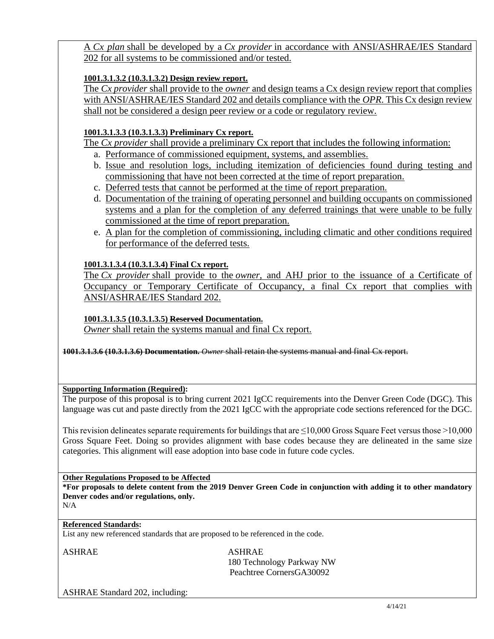A *Cx plan* shall be developed by a *Cx provider* in accordance with ANSI/ASHRAE/IES Standard 202 for all systems to be commissioned and/or tested.

### **1001.3.1.3.2 (10.3.1.3.2) Design review report.**

The *Cx provider* shall provide to the *owner* and design teams a Cx design review report that complies with ANSI/ASHRAE/IES Standard 202 and details compliance with the *OPR*. This Cx design review shall not be considered a design peer review or a code or regulatory review.

## **1001.3.1.3.3 (10.3.1.3.3) Preliminary Cx report.**

The *Cx provider* shall provide a preliminary Cx report that includes the following information:

- a. Performance of commissioned equipment, systems, and assemblies.
- b. Issue and resolution logs, including itemization of deficiencies found during testing and commissioning that have not been corrected at the time of report preparation.
- c. Deferred tests that cannot be performed at the time of report preparation.
- d. Documentation of the training of operating personnel and building occupants on commissioned systems and a plan for the completion of any deferred trainings that were unable to be fully commissioned at the time of report preparation.
- e. A plan for the completion of commissioning, including climatic and other conditions required for performance of the deferred tests.

## **1001.3.1.3.4 (10.3.1.3.4) Final Cx report.**

The *Cx provider* shall provide to the *owner*, and AHJ prior to the issuance of a Certificate of Occupancy or Temporary Certificate of Occupancy, a final Cx report that complies with ANSI/ASHRAE/IES Standard 202.

### **1001.3.1.3.5 (10.3.1.3.5) Reserved Documentation.**

*Owner* shall retain the systems manual and final Cx report.

**1001.3.1.3.6 (10.3.1.3.6) Documentation.** *Owner* shall retain the systems manual and final Cx report.

#### **Supporting Information (Required):**

The purpose of this proposal is to bring current 2021 IgCC requirements into the Denver Green Code (DGC). This language was cut and paste directly from the 2021 IgCC with the appropriate code sections referenced for the DGC.

This revision delineates separate requirements for buildings that are  $\leq$ 10,000 Gross Square Feet versus those >10,000 Gross Square Feet. Doing so provides alignment with base codes because they are delineated in the same size categories. This alignment will ease adoption into base code in future code cycles.

#### **Other Regulations Proposed to be Affected**

**\*For proposals to delete content from the 2019 Denver Green Code in conjunction with adding it to other mandatory Denver codes and/or regulations, only.**

# N/A

## **Referenced Standards:**

List any new referenced standards that are proposed to be referenced in the code.

ASHRAE ASHRAE

 180 Technology Parkway NW Peachtree CornersGA30092

ASHRAE Standard 202, including: